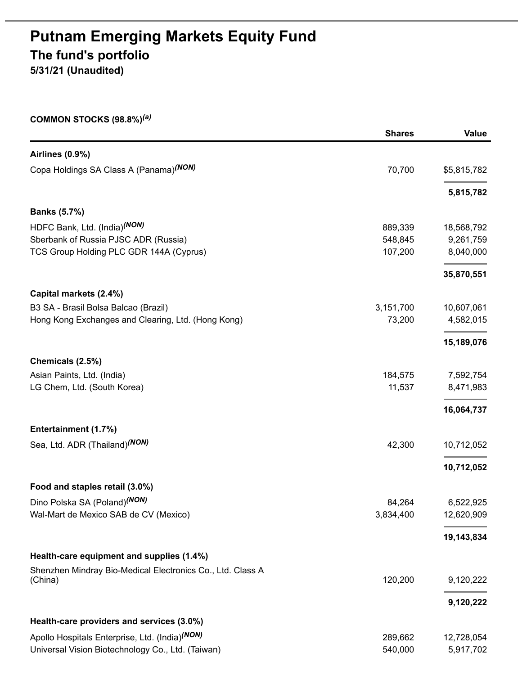# **Putnam Emerging Markets Equity Fund The fund's portfolio 5/31/21 (Unaudited)**

#### **COMMON STOCKS (98.8%)** *(a)*

|                                                            | <b>Shares</b> | <b>Value</b> |
|------------------------------------------------------------|---------------|--------------|
| Airlines (0.9%)                                            |               |              |
| Copa Holdings SA Class A (Panama) (NON)                    | 70,700        | \$5,815,782  |
|                                                            |               | 5,815,782    |
| <b>Banks (5.7%)</b>                                        |               |              |
| HDFC Bank, Ltd. (India)(NON)                               | 889,339       | 18,568,792   |
| Sberbank of Russia PJSC ADR (Russia)                       | 548,845       | 9,261,759    |
| TCS Group Holding PLC GDR 144A (Cyprus)                    | 107,200       | 8,040,000    |
|                                                            |               | 35,870,551   |
| Capital markets (2.4%)                                     |               |              |
| B3 SA - Brasil Bolsa Balcao (Brazil)                       | 3,151,700     | 10,607,061   |
| Hong Kong Exchanges and Clearing, Ltd. (Hong Kong)         | 73,200        | 4,582,015    |
|                                                            |               | 15,189,076   |
| Chemicals (2.5%)                                           |               |              |
| Asian Paints, Ltd. (India)                                 | 184,575       | 7,592,754    |
| LG Chem, Ltd. (South Korea)                                | 11,537        | 8,471,983    |
|                                                            |               | 16,064,737   |
| Entertainment (1.7%)                                       |               |              |
| Sea, Ltd. ADR (Thailand) <sup>(NON)</sup>                  | 42,300        | 10,712,052   |
|                                                            |               | 10,712,052   |
| Food and staples retail (3.0%)                             |               |              |
| Dino Polska SA (Poland) <sup>(NON)</sup>                   | 84,264        | 6,522,925    |
| Wal-Mart de Mexico SAB de CV (Mexico)                      | 3,834,400     | 12,620,909   |
|                                                            |               | 19,143,834   |
| Health-care equipment and supplies (1.4%)                  |               |              |
| Shenzhen Mindray Bio-Medical Electronics Co., Ltd. Class A |               |              |
| (China)                                                    | 120,200       | 9,120,222    |
|                                                            |               | 9,120,222    |
| Health-care providers and services (3.0%)                  |               |              |
| Apollo Hospitals Enterprise, Ltd. (India)(NON)             | 289,662       | 12,728,054   |
| Universal Vision Biotechnology Co., Ltd. (Taiwan)          | 540,000       | 5,917,702    |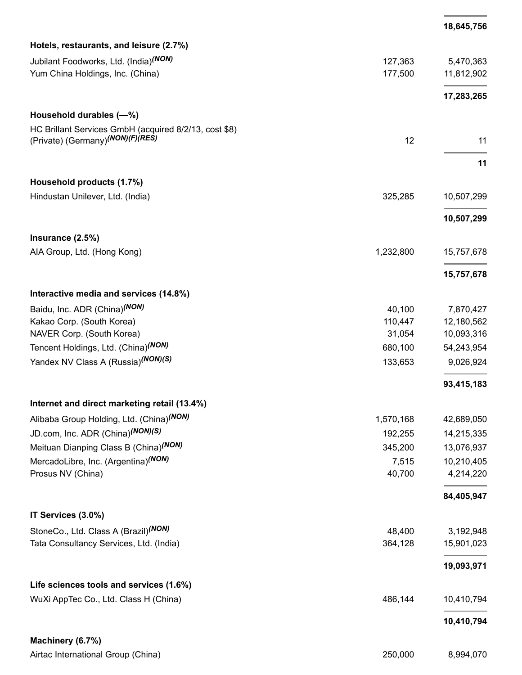|                                                       |           | 18,645,756 |
|-------------------------------------------------------|-----------|------------|
| Hotels, restaurants, and leisure (2.7%)               |           |            |
| Jubilant Foodworks, Ltd. (India) <sup>(NON)</sup>     | 127,363   | 5,470,363  |
| Yum China Holdings, Inc. (China)                      | 177,500   | 11,812,902 |
|                                                       |           | 17,283,265 |
| Household durables (-%)                               |           |            |
| HC Brillant Services GmbH (acquired 8/2/13, cost \$8) |           |            |
| (Private) (Germany) <sup>(NON)</sup> (F)(RES)         | 12        | 11         |
|                                                       |           | 11         |
| Household products (1.7%)                             |           |            |
| Hindustan Unilever, Ltd. (India)                      | 325,285   | 10,507,299 |
|                                                       |           | 10,507,299 |
| Insurance (2.5%)                                      |           |            |
| AIA Group, Ltd. (Hong Kong)                           | 1,232,800 | 15,757,678 |
|                                                       |           | 15,757,678 |
| Interactive media and services (14.8%)                |           |            |
| Baidu, Inc. ADR (China) <sup>(NON)</sup>              | 40,100    | 7,870,427  |
| Kakao Corp. (South Korea)                             | 110,447   | 12,180,562 |
| NAVER Corp. (South Korea)                             | 31,054    | 10,093,316 |
| Tencent Holdings, Ltd. (China) <sup>(NON)</sup>       | 680,100   | 54,243,954 |
| Yandex NV Class A (Russia)(NON)(S)                    | 133,653   | 9,026,924  |
|                                                       |           | 93,415,183 |
| Internet and direct marketing retail (13.4%)          |           |            |
| Alibaba Group Holding, Ltd. (China) <sup>(NON)</sup>  | 1,570,168 | 42,689,050 |
| JD.com, Inc. ADR (China)(NON)(S)                      | 192,255   | 14,215,335 |
| Meituan Dianping Class B (China) <sup>(NON)</sup>     | 345,200   | 13,076,937 |
| MercadoLibre, Inc. (Argentina) <sup>(NON)</sup>       | 7,515     | 10,210,405 |
| Prosus NV (China)                                     | 40,700    | 4,214,220  |
|                                                       |           | 84,405,947 |
| IT Services (3.0%)                                    |           |            |
| StoneCo., Ltd. Class A (Brazil) <sup>(NON)</sup>      | 48,400    | 3,192,948  |
| Tata Consultancy Services, Ltd. (India)               | 364,128   | 15,901,023 |
|                                                       |           | 19,093,971 |
| Life sciences tools and services (1.6%)               |           |            |
| WuXi AppTec Co., Ltd. Class H (China)                 | 486,144   | 10,410,794 |
|                                                       |           | 10,410,794 |
| Machinery (6.7%)                                      |           |            |
| Airtac International Group (China)                    | 250,000   | 8,994,070  |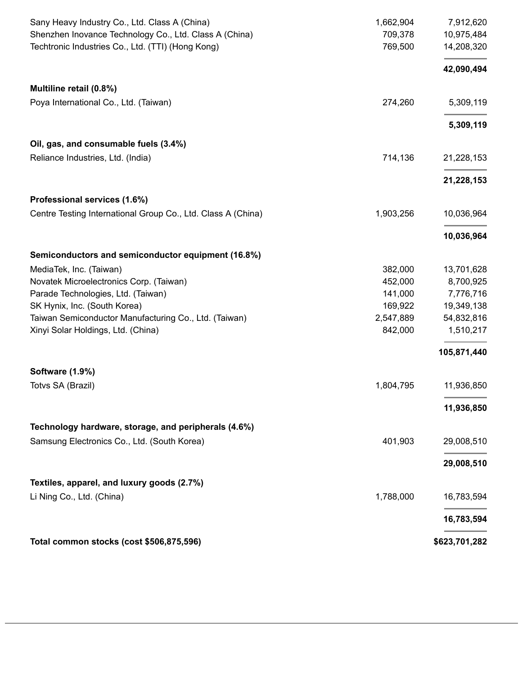| Sany Heavy Industry Co., Ltd. Class A (China)                | 1,662,904 | 7,912,620     |
|--------------------------------------------------------------|-----------|---------------|
| Shenzhen Inovance Technology Co., Ltd. Class A (China)       | 709,378   | 10,975,484    |
| Techtronic Industries Co., Ltd. (TTI) (Hong Kong)            | 769,500   | 14,208,320    |
|                                                              |           | 42,090,494    |
| Multiline retail (0.8%)                                      |           |               |
| Poya International Co., Ltd. (Taiwan)                        | 274,260   | 5,309,119     |
|                                                              |           | 5,309,119     |
| Oil, gas, and consumable fuels (3.4%)                        |           |               |
| Reliance Industries, Ltd. (India)                            | 714,136   | 21,228,153    |
|                                                              |           | 21,228,153    |
| Professional services (1.6%)                                 |           |               |
| Centre Testing International Group Co., Ltd. Class A (China) | 1,903,256 | 10,036,964    |
|                                                              |           | 10,036,964    |
| Semiconductors and semiconductor equipment (16.8%)           |           |               |
| MediaTek, Inc. (Taiwan)                                      | 382,000   | 13,701,628    |
| Novatek Microelectronics Corp. (Taiwan)                      | 452,000   | 8,700,925     |
| Parade Technologies, Ltd. (Taiwan)                           | 141,000   | 7,776,716     |
| SK Hynix, Inc. (South Korea)                                 | 169,922   | 19,349,138    |
| Taiwan Semiconductor Manufacturing Co., Ltd. (Taiwan)        | 2,547,889 | 54,832,816    |
| Xinyi Solar Holdings, Ltd. (China)                           | 842,000   | 1,510,217     |
|                                                              |           | 105,871,440   |
| Software (1.9%)                                              |           |               |
| Totvs SA (Brazil)                                            | 1,804,795 | 11,936,850    |
|                                                              |           | 11,936,850    |
| Technology hardware, storage, and peripherals (4.6%)         |           |               |
| Samsung Electronics Co., Ltd. (South Korea)                  | 401,903   | 29,008,510    |
|                                                              |           | 29,008,510    |
| Textiles, apparel, and luxury goods (2.7%)                   |           |               |
| Li Ning Co., Ltd. (China)                                    | 1,788,000 | 16,783,594    |
|                                                              |           | 16,783,594    |
| Total common stocks (cost \$506,875,596)                     |           | \$623,701,282 |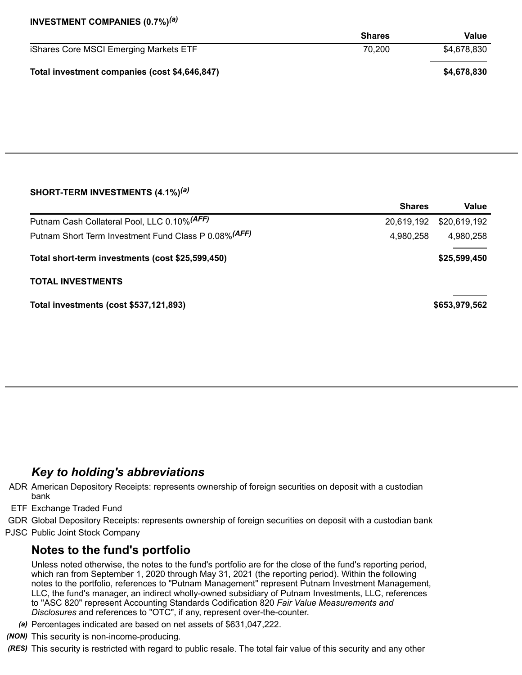### **INVESTMENT COMPANIES (0.7%)** *(a)*

|                                               | <b>Shares</b> | Value       |
|-----------------------------------------------|---------------|-------------|
| iShares Core MSCI Emerging Markets ETF        | 70.200        | \$4,678,830 |
| Total investment companies (cost \$4,646,847) |               | \$4,678,830 |

#### **SHORT-TERM INVESTMENTS (4.1%)** *(a)*

|                                                       | <b>Shares</b> | Value         |
|-------------------------------------------------------|---------------|---------------|
| Putnam Cash Collateral Pool, LLC 0.10% (AFF)          | 20,619,192    | \$20,619,192  |
| Putnam Short Term Investment Fund Class P 0.08% (AFF) | 4,980,258     | 4,980,258     |
| Total short-term investments (cost \$25,599,450)      |               | \$25,599,450  |
| <b>TOTAL INVESTMENTS</b>                              |               |               |
| Total investments (cost \$537,121,893)                |               | \$653,979,562 |

## *Key to holding's abbreviations*

- ADR American Depository Receipts: represents ownership of foreign securities on deposit with a custodian bank
- ETF Exchange Traded Fund
- GDR Global Depository Receipts: represents ownership of foreign securities on deposit with a custodian bank
- PJSC Public Joint Stock Company

## **Notes to the fund's portfolio**

Unless noted otherwise, the notes to the fund's portfolio are for the close of the fund's reporting period, which ran from September 1, 2020 through May 31, 2021 (the reporting period). Within the following notes to the portfolio, references to "Putnam Management" represent Putnam Investment Management, LLC, the fund's manager, an indirect wholly-owned subsidiary of Putnam Investments, LLC, references to "ASC 820" represent Accounting Standards Codification 820 *Fair Value Measurements and Disclosures* and references to "OTC", if any, represent over-the-counter.

- *(a)* Percentages indicated are based on net assets of \$631,047,222.
- *(NON)* This security is non-income-producing.
- *(RES)* This security is restricted with regard to public resale. The total fair value of this security and any other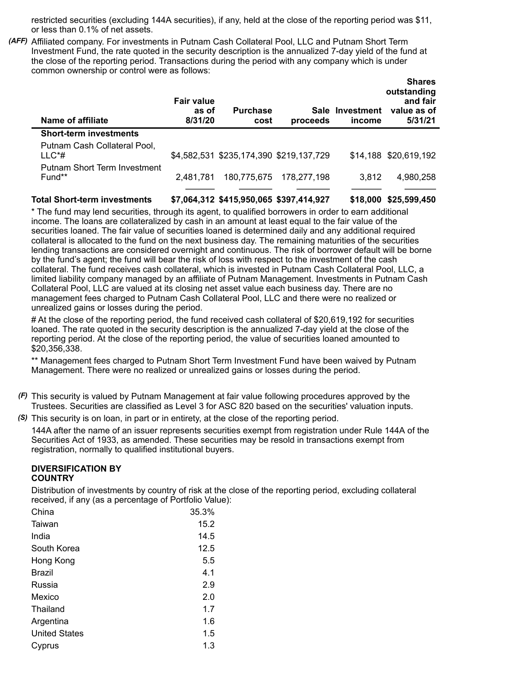restricted securities (excluding 144A securities), if any, held at the close of the reporting period was \$11, or less than 0.1% of net assets.

*(AFF)* Affiliated company. For investments in Putnam Cash Collateral Pool, LLC and Putnam Short Term Investment Fund, the rate quoted in the security description is the annualized 7-day yield of the fund at the close of the reporting period. Transactions during the period with any company which is under common ownership or control were as follows:

| Name of affiliate                             | <b>Fair value</b><br>as of<br>8/31/20 | <b>Purchase</b><br>cost                 | proceeds    | Sale Investment<br>income | <b>Shares</b><br>outstanding<br>and fair<br>value as of<br>5/31/21 |
|-----------------------------------------------|---------------------------------------|-----------------------------------------|-------------|---------------------------|--------------------------------------------------------------------|
| <b>Short-term investments</b>                 |                                       |                                         |             |                           |                                                                    |
| Putnam Cash Collateral Pool,<br>$LL C^*#$     |                                       | \$4,582,531 \$235,174,390 \$219,137,729 |             |                           | \$14,188 \$20,619,192                                              |
| <b>Putnam Short Term Investment</b><br>Fund** | 2.481.781                             | 180,775,675                             | 178,277,198 | 3,812                     | 4,980,258                                                          |
|                                               |                                       |                                         |             |                           |                                                                    |

**Total Short-term investments \$7,064,312 \$415,950,065 \$397,414,927 \$18,000 \$25,599,450**

\* The fund may lend securities, through its agent, to qualified borrowers in order to earn additional income. The loans are collateralized by cash in an amount at least equal to the fair value of the securities loaned. The fair value of securities loaned is determined daily and any additional required collateral is allocated to the fund on the next business day. The remaining maturities of the securities lending transactions are considered overnight and continuous. The risk of borrower default will be borne by the fund's agent; the fund will bear the risk of loss with respect to the investment of the cash collateral. The fund receives cash collateral, which is invested in Putnam Cash Collateral Pool, LLC, a limited liability company managed by an affiliate of Putnam Management. Investments in Putnam Cash Collateral Pool, LLC are valued at its closing net asset value each business day. There are no management fees charged to Putnam Cash Collateral Pool, LLC and there were no realized or unrealized gains or losses during the period.

# At the close of the reporting period, the fund received cash collateral of \$20,619,192 for securities loaned. The rate quoted in the security description is the annualized 7-day yield at the close of the reporting period. At the close of the reporting period, the value of securities loaned amounted to \$20,356,338.

\*\* Management fees charged to Putnam Short Term Investment Fund have been waived by Putnam Management. There were no realized or unrealized gains or losses during the period.

*(F)* This security is valued by Putnam Management at fair value following procedures approved by the Trustees. Securities are classified as Level 3 for ASC 820 based on the securities' valuation inputs.

*(S)* This security is on loan, in part or in entirety, at the close of the reporting period.

144A after the name of an issuer represents securities exempt from registration under Rule 144A of the Securities Act of 1933, as amended. These securities may be resold in transactions exempt from registration, normally to qualified institutional buyers.

#### **DIVERSIFICATION BY COUNTRY**

Distribution of investments by country of risk at the close of the reporting period, excluding collateral received, if any (as a percentage of Portfolio Value):

| China                | 35.3% |
|----------------------|-------|
| Taiwan               | 15.2  |
| India                | 14.5  |
| South Korea          | 12.5  |
| Hong Kong            | 5.5   |
| Brazil               | 4.1   |
| Russia               | 2.9   |
| Mexico               | 2.0   |
| Thailand             | 1.7   |
| Argentina            | 1.6   |
| <b>United States</b> | 1.5   |
| Cyprus               | 1.3   |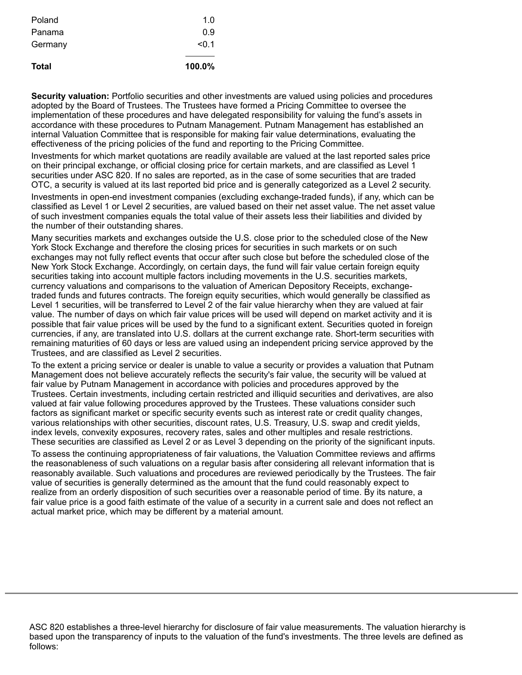| Total   | 100.0% |
|---------|--------|
| Germany | < 0.1  |
| Panama  | 0.9    |
| Poland  | 1.0    |

**Security valuation:** Portfolio securities and other investments are valued using policies and procedures adopted by the Board of Trustees. The Trustees have formed a Pricing Committee to oversee the implementation of these procedures and have delegated responsibility for valuing the fund's assets in accordance with these procedures to Putnam Management. Putnam Management has established an internal Valuation Committee that is responsible for making fair value determinations, evaluating the effectiveness of the pricing policies of the fund and reporting to the Pricing Committee.

Investments for which market quotations are readily available are valued at the last reported sales price on their principal exchange, or official closing price for certain markets, and are classified as Level 1 securities under ASC 820. If no sales are reported, as in the case of some securities that are traded OTC, a security is valued at its last reported bid price and is generally categorized as a Level 2 security.

Investments in open-end investment companies (excluding exchange-traded funds), if any, which can be classified as Level 1 or Level 2 securities, are valued based on their net asset value. The net asset value of such investment companies equals the total value of their assets less their liabilities and divided by the number of their outstanding shares.

Many securities markets and exchanges outside the U.S. close prior to the scheduled close of the New York Stock Exchange and therefore the closing prices for securities in such markets or on such exchanges may not fully reflect events that occur after such close but before the scheduled close of the New York Stock Exchange. Accordingly, on certain days, the fund will fair value certain foreign equity securities taking into account multiple factors including movements in the U.S. securities markets, currency valuations and comparisons to the valuation of American Depository Receipts, exchangetraded funds and futures contracts. The foreign equity securities, which would generally be classified as Level 1 securities, will be transferred to Level 2 of the fair value hierarchy when they are valued at fair value. The number of days on which fair value prices will be used will depend on market activity and it is possible that fair value prices will be used by the fund to a significant extent. Securities quoted in foreign currencies, if any, are translated into U.S. dollars at the current exchange rate. Short-term securities with remaining maturities of 60 days or less are valued using an independent pricing service approved by the Trustees, and are classified as Level 2 securities.

To the extent a pricing service or dealer is unable to value a security or provides a valuation that Putnam Management does not believe accurately reflects the security's fair value, the security will be valued at fair value by Putnam Management in accordance with policies and procedures approved by the Trustees. Certain investments, including certain restricted and illiquid securities and derivatives, are also valued at fair value following procedures approved by the Trustees. These valuations consider such factors as significant market or specific security events such as interest rate or credit quality changes, various relationships with other securities, discount rates, U.S. Treasury, U.S. swap and credit yields, index levels, convexity exposures, recovery rates, sales and other multiples and resale restrictions. These securities are classified as Level 2 or as Level 3 depending on the priority of the significant inputs.

To assess the continuing appropriateness of fair valuations, the Valuation Committee reviews and affirms the reasonableness of such valuations on a regular basis after considering all relevant information that is reasonably available. Such valuations and procedures are reviewed periodically by the Trustees. The fair value of securities is generally determined as the amount that the fund could reasonably expect to realize from an orderly disposition of such securities over a reasonable period of time. By its nature, a fair value price is a good faith estimate of the value of a security in a current sale and does not reflect an actual market price, which may be different by a material amount.

ASC 820 establishes a three-level hierarchy for disclosure of fair value measurements. The valuation hierarchy is based upon the transparency of inputs to the valuation of the fund's investments. The three levels are defined as follows: